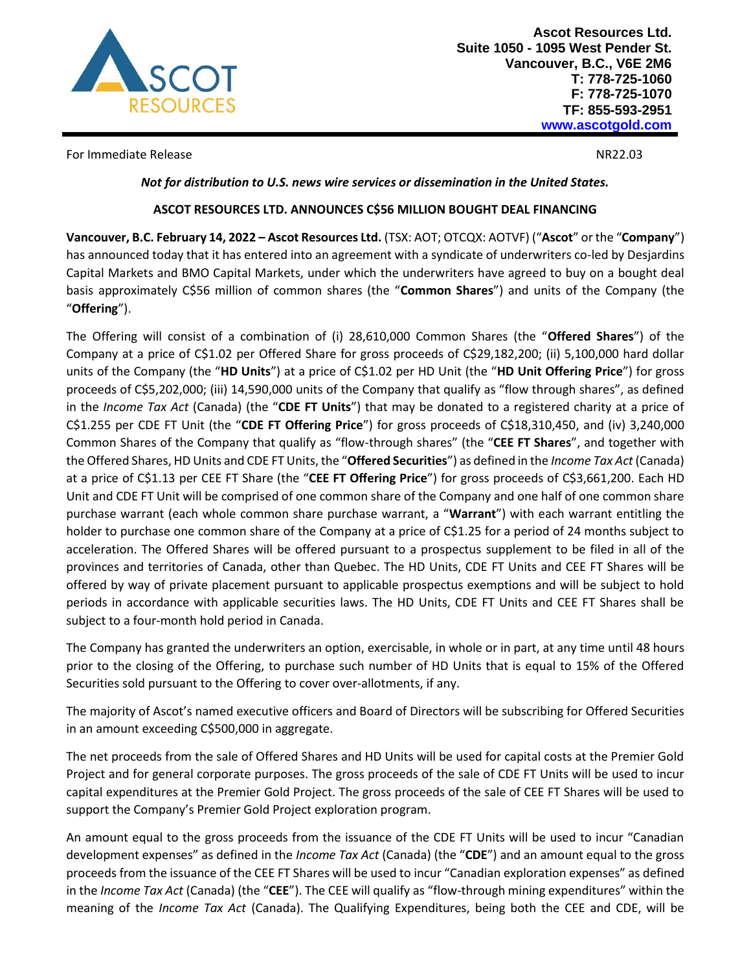

For Immediate Release NR22.03

*Not for distribution to U.S. news wire services or dissemination in the United States.* 

## **ASCOT RESOURCES LTD. ANNOUNCES C\$56 MILLION BOUGHT DEAL FINANCING**

**Vancouver, B.C. February 14, 2022 – Ascot Resources Ltd.** (TSX: AOT; OTCQX: AOTVF) ("**Ascot**" or the "**Company**") has announced today that it has entered into an agreement with a syndicate of underwriters co-led by Desjardins Capital Markets and BMO Capital Markets, under which the underwriters have agreed to buy on a bought deal basis approximately C\$56 million of common shares (the "**Common Shares**") and units of the Company (the "**Offering**").

The Offering will consist of a combination of (i) 28,610,000 Common Shares (the "**Offered Shares**") of the Company at a price of C\$1.02 per Offered Share for gross proceeds of C\$29,182,200; (ii) 5,100,000 hard dollar units of the Company (the "**HD Units**") at a price of C\$1.02 per HD Unit (the "**HD Unit Offering Price**") for gross proceeds of C\$5,202,000; (iii) 14,590,000 units of the Company that qualify as "flow through shares", as defined in the *Income Tax Act* (Canada) (the "**CDE FT Units**") that may be donated to a registered charity at a price of C\$1.255 per CDE FT Unit (the "**CDE FT Offering Price**") for gross proceeds of C\$18,310,450, and (iv) 3,240,000 Common Shares of the Company that qualify as "flow-through shares" (the "**CEE FT Shares**", and together with the Offered Shares, HD Units and CDE FT Units, the "**Offered Securities**") as defined in the *Income Tax Act* (Canada) at a price of C\$1.13 per CEE FT Share (the "**CEE FT Offering Price**") for gross proceeds of C\$3,661,200. Each HD Unit and CDE FT Unit will be comprised of one common share of the Company and one half of one common share purchase warrant (each whole common share purchase warrant, a "**Warrant**") with each warrant entitling the holder to purchase one common share of the Company at a price of C\$1.25 for a period of 24 months subject to acceleration. The Offered Shares will be offered pursuant to a prospectus supplement to be filed in all of the provinces and territories of Canada, other than Quebec. The HD Units, CDE FT Units and CEE FT Shares will be offered by way of private placement pursuant to applicable prospectus exemptions and will be subject to hold periods in accordance with applicable securities laws. The HD Units, CDE FT Units and CEE FT Shares shall be subject to a four-month hold period in Canada.

The Company has granted the underwriters an option, exercisable, in whole or in part, at any time until 48 hours prior to the closing of the Offering, to purchase such number of HD Units that is equal to 15% of the Offered Securities sold pursuant to the Offering to cover over-allotments, if any.

The majority of Ascot's named executive officers and Board of Directors will be subscribing for Offered Securities in an amount exceeding C\$500,000 in aggregate.

The net proceeds from the sale of Offered Shares and HD Units will be used for capital costs at the Premier Gold Project and for general corporate purposes. The gross proceeds of the sale of CDE FT Units will be used to incur capital expenditures at the Premier Gold Project. The gross proceeds of the sale of CEE FT Shares will be used to support the Company's Premier Gold Project exploration program.

An amount equal to the gross proceeds from the issuance of the CDE FT Units will be used to incur "Canadian development expenses" as defined in the *Income Tax Act* (Canada) (the "**CDE**") and an amount equal to the gross proceeds from the issuance of the CEE FT Shares will be used to incur "Canadian exploration expenses" as defined in the *Income Tax Act* (Canada) (the "**CEE**"). The CEE will qualify as "flow-through mining expenditures" within the meaning of the *Income Tax Act* (Canada). The Qualifying Expenditures, being both the CEE and CDE, will be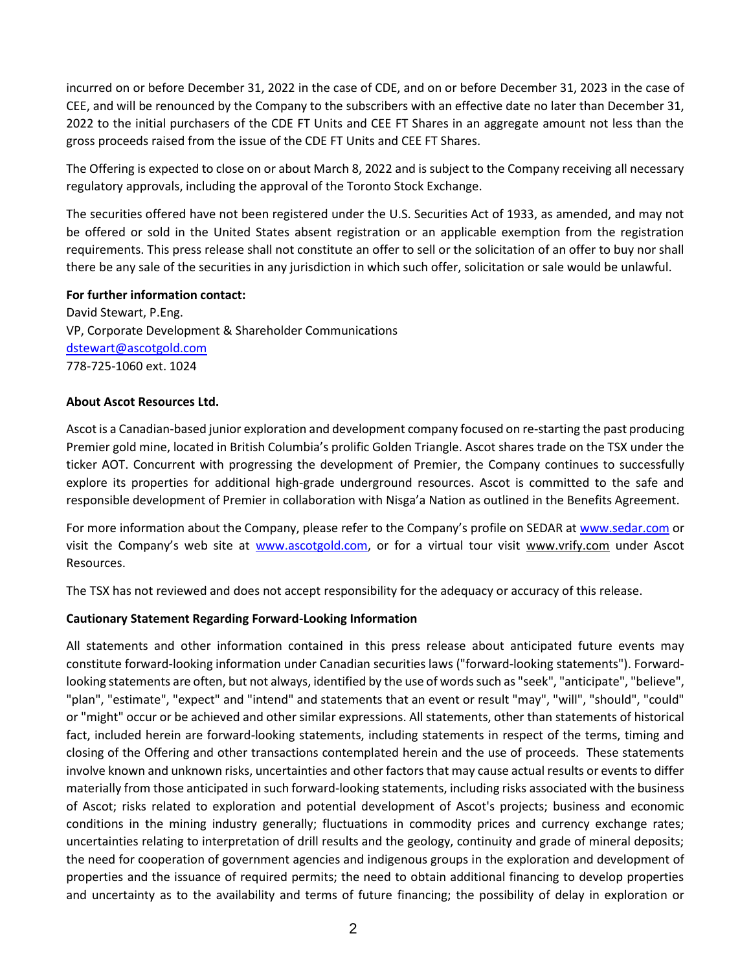incurred on or before December 31, 2022 in the case of CDE, and on or before December 31, 2023 in the case of CEE, and will be renounced by the Company to the subscribers with an effective date no later than December 31, 2022 to the initial purchasers of the CDE FT Units and CEE FT Shares in an aggregate amount not less than the gross proceeds raised from the issue of the CDE FT Units and CEE FT Shares.

The Offering is expected to close on or about March 8, 2022 and is subject to the Company receiving all necessary regulatory approvals, including the approval of the Toronto Stock Exchange.

The securities offered have not been registered under the U.S. Securities Act of 1933, as amended, and may not be offered or sold in the United States absent registration or an applicable exemption from the registration requirements. This press release shall not constitute an offer to sell or the solicitation of an offer to buy nor shall there be any sale of the securities in any jurisdiction in which such offer, solicitation or sale would be unlawful.

## **For further information contact:**

David Stewart, P.Eng. VP, Corporate Development & Shareholder Communications [dstewart@ascotgold.com](mailto:dstewart@ascotgold.com) 778-725-1060 ext. 1024

## **About Ascot Resources Ltd.**

Ascot is a Canadian-based junior exploration and development company focused on re-starting the past producing Premier gold mine, located in British Columbia's prolific Golden Triangle. Ascot shares trade on the TSX under the ticker AOT. Concurrent with progressing the development of Premier, the Company continues to successfully explore its properties for additional high-grade underground resources. Ascot is committed to the safe and responsible development of Premier in collaboration with Nisga'a Nation as outlined in the Benefits Agreement.

For more information about the Company, please refer to the Company's profile on SEDAR at www.sedar.com or visit the Company's web site at www.ascotgold.com, or for a virtual tour visit www.vrify.com under Ascot Resources.

The TSX has not reviewed and does not accept responsibility for the adequacy or accuracy of this release.

## **Cautionary Statement Regarding Forward-Looking Information**

All statements and other information contained in this press release about anticipated future events may constitute forward-looking information under Canadian securities laws ("forward-looking statements"). Forwardlooking statements are often, but not always, identified by the use of words such as "seek", "anticipate", "believe", "plan", "estimate", "expect" and "intend" and statements that an event or result "may", "will", "should", "could" or "might" occur or be achieved and other similar expressions. All statements, other than statements of historical fact, included herein are forward-looking statements, including statements in respect of the terms, timing and closing of the Offering and other transactions contemplated herein and the use of proceeds. These statements involve known and unknown risks, uncertainties and other factors that may cause actual results or events to differ materially from those anticipated in such forward-looking statements, including risks associated with the business of Ascot; risks related to exploration and potential development of Ascot's projects; business and economic conditions in the mining industry generally; fluctuations in commodity prices and currency exchange rates; uncertainties relating to interpretation of drill results and the geology, continuity and grade of mineral deposits; the need for cooperation of government agencies and indigenous groups in the exploration and development of properties and the issuance of required permits; the need to obtain additional financing to develop properties and uncertainty as to the availability and terms of future financing; the possibility of delay in exploration or